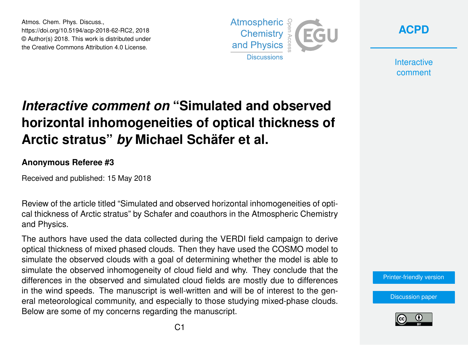Atmos. Chem. Phys. Discuss., https://doi.org/10.5194/acp-2018-62-RC2, 2018 © Author(s) 2018. This work is distributed under the Creative Commons Attribution 4.0 License.





**Interactive** comment

## *Interactive comment on* **"Simulated and observed horizontal inhomogeneities of optical thickness of Arctic stratus"** *by* **Michael Schäfer et al.**

## **Anonymous Referee #3**

Received and published: 15 May 2018

Review of the article titled "Simulated and observed horizontal inhomogeneities of optical thickness of Arctic stratus" by Schafer and coauthors in the Atmospheric Chemistry and Physics.

The authors have used the data collected during the VERDI field campaign to derive optical thickness of mixed phased clouds. Then they have used the COSMO model to simulate the observed clouds with a goal of determining whether the model is able to simulate the observed inhomogeneity of cloud field and why. They conclude that the differences in the observed and simulated cloud fields are mostly due to differences in the wind speeds. The manuscript is well-written and will be of interest to the general meteorological community, and especially to those studying mixed-phase clouds. Below are some of my concerns regarding the manuscript.

[Printer-friendly version](https://www.atmos-chem-phys-discuss.net/acp-2018-62/acp-2018-62-RC2-print.pdf)

[Discussion paper](https://www.atmos-chem-phys-discuss.net/acp-2018-62)

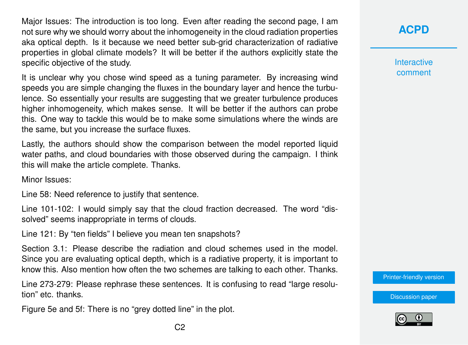Major Issues: The introduction is too long. Even after reading the second page, I am not sure why we should worry about the inhomogeneity in the cloud radiation properties aka optical depth. Is it because we need better sub-grid characterization of radiative properties in global climate models? It will be better if the authors explicitly state the specific objective of the study.

It is unclear why you chose wind speed as a tuning parameter. By increasing wind speeds you are simple changing the fluxes in the boundary layer and hence the turbulence. So essentially your results are suggesting that we greater turbulence produces higher inhomogeneity, which makes sense. It will be better if the authors can probe this. One way to tackle this would be to make some simulations where the winds are the same, but you increase the surface fluxes.

Lastly, the authors should show the comparison between the model reported liquid water paths, and cloud boundaries with those observed during the campaign. I think this will make the article complete. Thanks.

Minor Issues:

Line 58: Need reference to justify that sentence.

Line 101-102: I would simply say that the cloud fraction decreased. The word "dissolved" seems inappropriate in terms of clouds.

Line 121: By "ten fields" I believe you mean ten snapshots?

Section 3.1: Please describe the radiation and cloud schemes used in the model. Since you are evaluating optical depth, which is a radiative property, it is important to know this. Also mention how often the two schemes are talking to each other. Thanks.

Line 273-279: Please rephrase these sentences. It is confusing to read "large resolution" etc. thanks.

Figure 5e and 5f: There is no "grey dotted line" in the plot.

**[ACPD](https://www.atmos-chem-phys-discuss.net/)**

**Interactive** comment

[Printer-friendly version](https://www.atmos-chem-phys-discuss.net/acp-2018-62/acp-2018-62-RC2-print.pdf)

[Discussion paper](https://www.atmos-chem-phys-discuss.net/acp-2018-62)